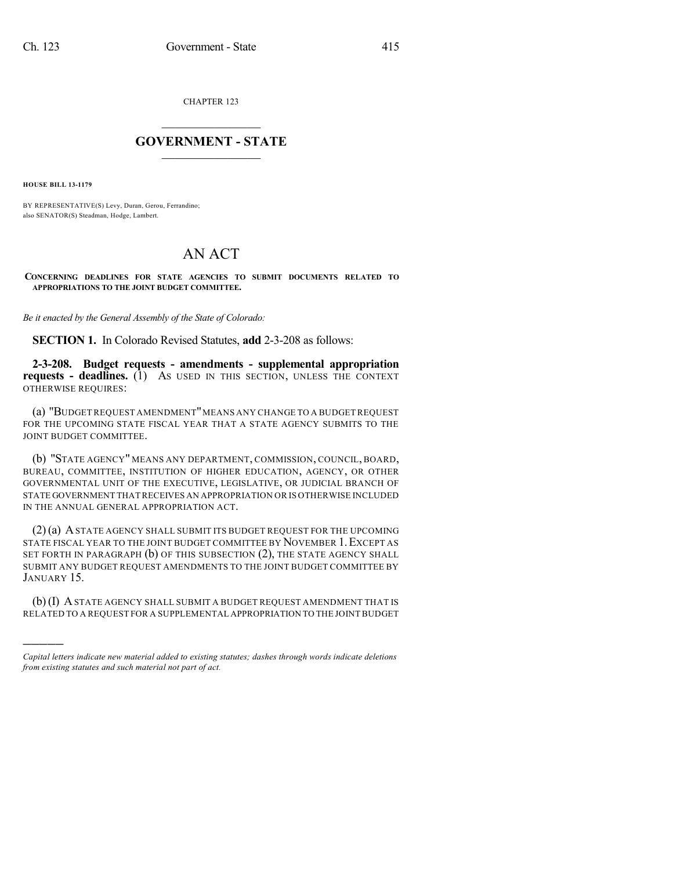CHAPTER 123

## $\mathcal{L}_\text{max}$  . The set of the set of the set of the set of the set of the set of the set of the set of the set of the set of the set of the set of the set of the set of the set of the set of the set of the set of the set **GOVERNMENT - STATE**  $\_$   $\_$   $\_$   $\_$   $\_$   $\_$   $\_$   $\_$

**HOUSE BILL 13-1179**

)))))

BY REPRESENTATIVE(S) Levy, Duran, Gerou, Ferrandino; also SENATOR(S) Steadman, Hodge, Lambert.

## AN ACT

**CONCERNING DEADLINES FOR STATE AGENCIES TO SUBMIT DOCUMENTS RELATED TO APPROPRIATIONS TO THE JOINT BUDGET COMMITTEE.**

*Be it enacted by the General Assembly of the State of Colorado:*

**SECTION 1.** In Colorado Revised Statutes, **add** 2-3-208 as follows:

**2-3-208. Budget requests - amendments - supplemental appropriation requests - deadlines.** (1) AS USED IN THIS SECTION, UNLESS THE CONTEXT OTHERWISE REQUIRES:

(a) "BUDGET REQUEST AMENDMENT"MEANS ANY CHANGE TO A BUDGET REQUEST FOR THE UPCOMING STATE FISCAL YEAR THAT A STATE AGENCY SUBMITS TO THE JOINT BUDGET COMMITTEE.

(b) "STATE AGENCY" MEANS ANY DEPARTMENT, COMMISSION, COUNCIL, BOARD, BUREAU, COMMITTEE, INSTITUTION OF HIGHER EDUCATION, AGENCY, OR OTHER GOVERNMENTAL UNIT OF THE EXECUTIVE, LEGISLATIVE, OR JUDICIAL BRANCH OF STATE GOVERNMENT THAT RECEIVES AN APPROPRIATION OR IS OTHERWISE INCLUDED IN THE ANNUAL GENERAL APPROPRIATION ACT.

(2)(a) ASTATE AGENCY SHALL SUBMIT ITS BUDGET REQUEST FOR THE UPCOMING STATE FISCAL YEAR TO THE JOINT BUDGET COMMITTEE BY NOVEMBER 1.EXCEPT AS SET FORTH IN PARAGRAPH  $(b)$  OF THIS SUBSECTION  $(2)$ , the state agency shall SUBMIT ANY BUDGET REQUEST AMENDMENTS TO THE JOINT BUDGET COMMITTEE BY JANUARY 15.

(b)(I) ASTATE AGENCY SHALL SUBMIT A BUDGET REQUEST AMENDMENT THAT IS RELATED TO A REQUEST FOR A SUPPLEMENTAL APPROPRIATION TO THE JOINTBUDGET

*Capital letters indicate new material added to existing statutes; dashes through words indicate deletions from existing statutes and such material not part of act.*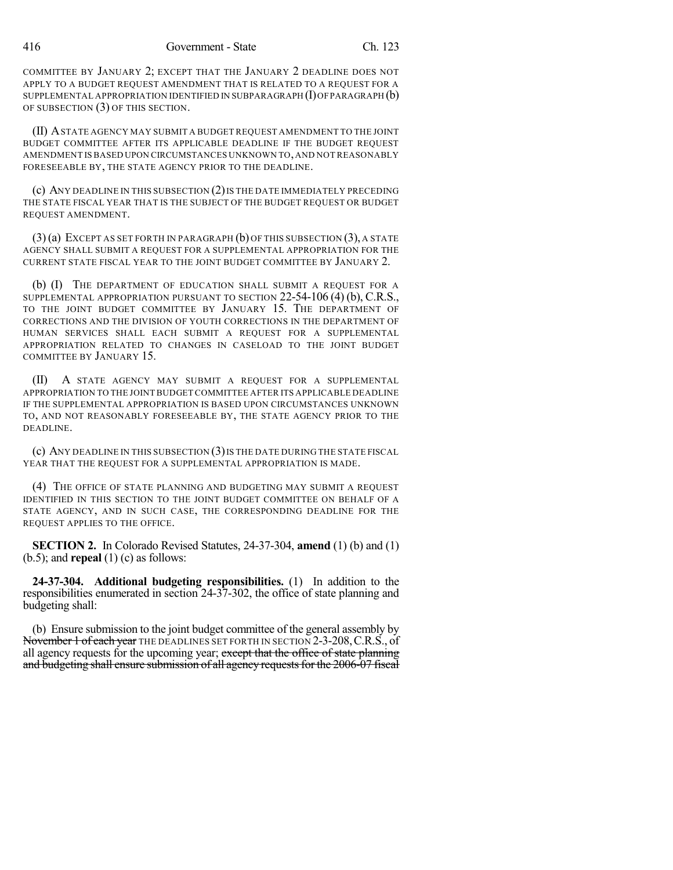COMMITTEE BY JANUARY 2; EXCEPT THAT THE JANUARY 2 DEADLINE DOES NOT APPLY TO A BUDGET REQUEST AMENDMENT THAT IS RELATED TO A REQUEST FOR A SUPPLEMENTAL APPROPRIATION IDENTIFIED IN SUBPARAGRAPH  $(I)$  OF PARAGRAPH  $(b)$ OF SUBSECTION (3) OF THIS SECTION.

(II) ASTATE AGENCY MAY SUBMIT A BUDGET REQUEST AMENDMENT TO THE JOINT BUDGET COMMITTEE AFTER ITS APPLICABLE DEADLINE IF THE BUDGET REQUEST AMENDMENT IS BASED UPON CIRCUMSTANCES UNKNOWN TO,AND NOT REASONABLY FORESEEABLE BY, THE STATE AGENCY PRIOR TO THE DEADLINE.

(c) ANY DEADLINE IN THIS SUBSECTION (2)IS THE DATE IMMEDIATELY PRECEDING THE STATE FISCAL YEAR THAT IS THE SUBJECT OF THE BUDGET REQUEST OR BUDGET REQUEST AMENDMENT.

(3)(a) EXCEPT AS SET FORTH IN PARAGRAPH (b) OF THIS SUBSECTION (3), A STATE AGENCY SHALL SUBMIT A REQUEST FOR A SUPPLEMENTAL APPROPRIATION FOR THE CURRENT STATE FISCAL YEAR TO THE JOINT BUDGET COMMITTEE BY JANUARY 2.

(b) (I) THE DEPARTMENT OF EDUCATION SHALL SUBMIT A REQUEST FOR A SUPPLEMENTAL APPROPRIATION PURSUANT TO SECTION 22-54-106 (4) (b), C.R.S., TO THE JOINT BUDGET COMMITTEE BY JANUARY 15. THE DEPARTMENT OF CORRECTIONS AND THE DIVISION OF YOUTH CORRECTIONS IN THE DEPARTMENT OF HUMAN SERVICES SHALL EACH SUBMIT A REQUEST FOR A SUPPLEMENTAL APPROPRIATION RELATED TO CHANGES IN CASELOAD TO THE JOINT BUDGET COMMITTEE BY JANUARY 15.

(II) A STATE AGENCY MAY SUBMIT A REQUEST FOR A SUPPLEMENTAL APPROPRIATION TO THE JOINT BUDGETCOMMITTEE AFTER ITS APPLICABLE DEADLINE IF THE SUPPLEMENTAL APPROPRIATION IS BASED UPON CIRCUMSTANCES UNKNOWN TO, AND NOT REASONABLY FORESEEABLE BY, THE STATE AGENCY PRIOR TO THE DEADLINE.

 $(c)$  ANY DEADLINE IN THIS SUBSECTION  $(3)$  is the DATE DURING THE STATE FISCAL YEAR THAT THE REQUEST FOR A SUPPLEMENTAL APPROPRIATION IS MADE.

(4) THE OFFICE OF STATE PLANNING AND BUDGETING MAY SUBMIT A REQUEST IDENTIFIED IN THIS SECTION TO THE JOINT BUDGET COMMITTEE ON BEHALF OF A STATE AGENCY, AND IN SUCH CASE, THE CORRESPONDING DEADLINE FOR THE REQUEST APPLIES TO THE OFFICE.

**SECTION 2.** In Colorado Revised Statutes, 24-37-304, **amend** (1) (b) and (1) (b.5); and **repeal** (1) (c) as follows:

**24-37-304. Additional budgeting responsibilities.** (1) In addition to the responsibilities enumerated in section 24-37-302, the office of state planning and budgeting shall:

(b) Ensure submission to the joint budget committee of the general assembly by November 1 of each year THE DEADLINES SET FORTH IN SECTION 2-3-208, C.R.S., of all agency requests for the upcoming year; except that the office of state planning and budgeting shall ensure submission of all agency requests for the 2006-07 fiscal